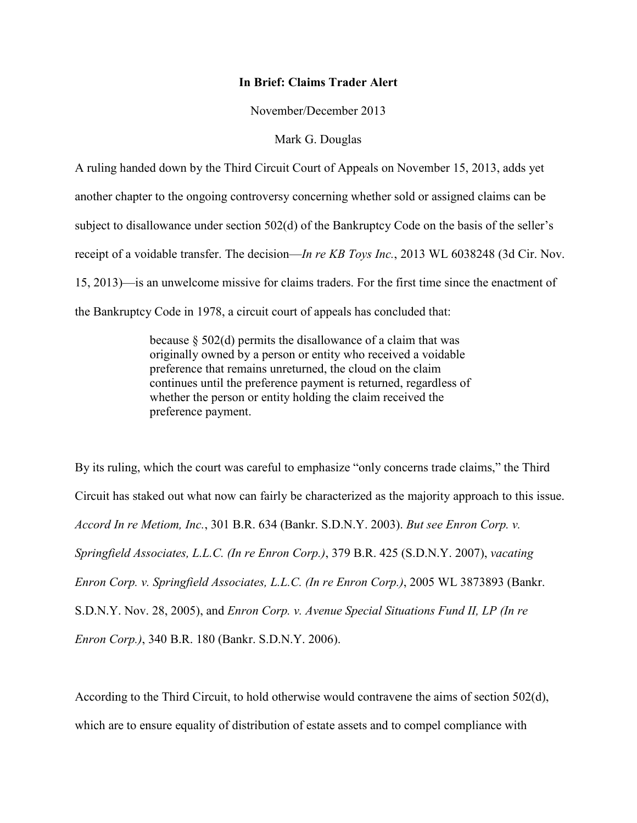## **In Brief: Claims Trader Alert**

November/December 2013

## Mark G. Douglas

A ruling handed down by the Third Circuit Court of Appeals on November 15, 2013, adds yet another chapter to the ongoing controversy concerning whether sold or assigned claims can be subject to disallowance under section 502(d) of the Bankruptcy Code on the basis of the seller's receipt of a voidable transfer. The decision—*In re KB Toys Inc.*, 2013 WL 6038248 (3d Cir. Nov. 15, 2013)—is an unwelcome missive for claims traders. For the first time since the enactment of the Bankruptcy Code in 1978, a circuit court of appeals has concluded that:

> because  $\S$  502(d) permits the disallowance of a claim that was originally owned by a person or entity who received a voidable preference that remains unreturned, the cloud on the claim continues until the preference payment is returned, regardless of whether the person or entity holding the claim received the preference payment.

By its ruling, which the court was careful to emphasize "only concerns trade claims," the Third Circuit has staked out what now can fairly be characterized as the majority approach to this issue. *Accord In re Metiom, Inc.*, 301 B.R. 634 (Bankr. S.D.N.Y. 2003). *But see Enron Corp. v. Springfield Associates, L.L.C. (In re Enron Corp.)*, 379 B.R. 425 (S.D.N.Y. 2007), *vacating Enron Corp. v. Springfield Associates, L.L.C. (In re Enron Corp.)*, 2005 WL 3873893 (Bankr. S.D.N.Y. Nov. 28, 2005), and *Enron Corp. v. Avenue Special Situations Fund II, LP (In re Enron Corp.)*, 340 B.R. 180 (Bankr. S.D.N.Y. 2006).

According to the Third Circuit, to hold otherwise would contravene the aims of section 502(d), which are to ensure equality of distribution of estate assets and to compel compliance with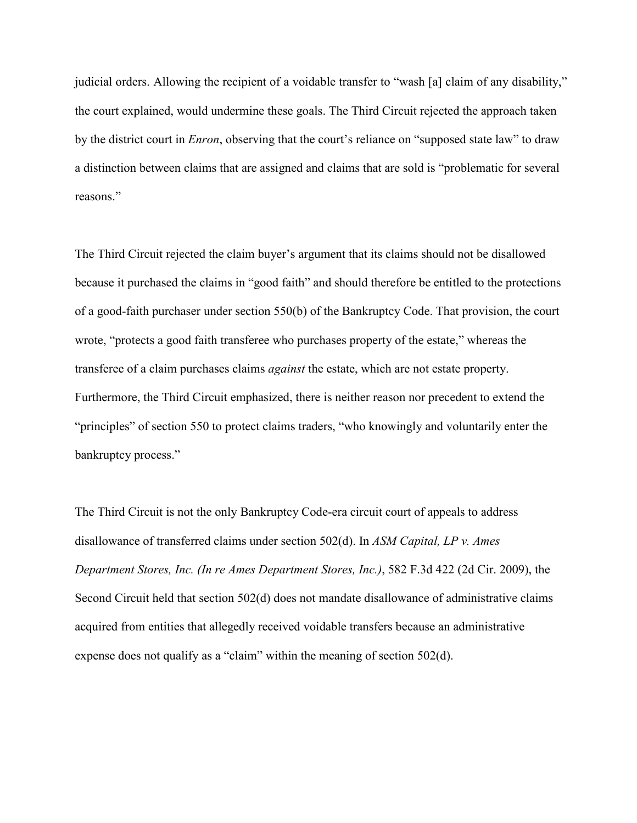judicial orders. Allowing the recipient of a voidable transfer to "wash [a] claim of any disability," the court explained, would undermine these goals. The Third Circuit rejected the approach taken by the district court in *Enron*, observing that the court's reliance on "supposed state law" to draw a distinction between claims that are assigned and claims that are sold is "problematic for several reasons."

The Third Circuit rejected the claim buyer's argument that its claims should not be disallowed because it purchased the claims in "good faith" and should therefore be entitled to the protections of a good-faith purchaser under section 550(b) of the Bankruptcy Code. That provision, the court wrote, "protects a good faith transferee who purchases property of the estate," whereas the transferee of a claim purchases claims *against* the estate, which are not estate property. Furthermore, the Third Circuit emphasized, there is neither reason nor precedent to extend the "principles" of section 550 to protect claims traders, "who knowingly and voluntarily enter the bankruptcy process."

The Third Circuit is not the only Bankruptcy Code-era circuit court of appeals to address disallowance of transferred claims under section 502(d). In *ASM Capital, LP v. Ames Department Stores, Inc. (In re Ames Department Stores, Inc.)*, 582 F.3d 422 (2d Cir. 2009), the Second Circuit held that section 502(d) does not mandate disallowance of administrative claims acquired from entities that allegedly received voidable transfers because an administrative expense does not qualify as a "claim" within the meaning of section 502(d).